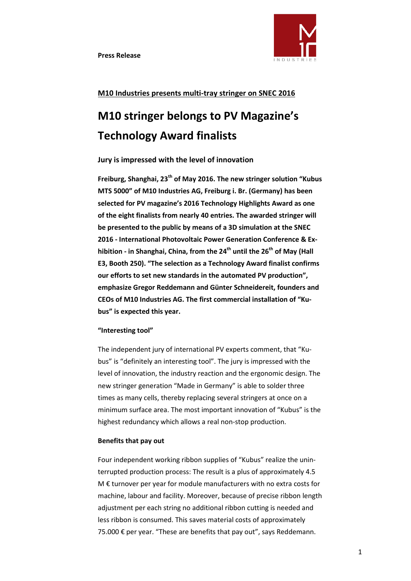

## **M10 Industries presents multi-tray stringer on SNEC 2016**

# **M10 stringer belongs to PV Magazine's Technology Award finalists**

### **Jury is impressed with the level of innovation**

**Freiburg, Shanghai, 23th of May 2016. The new stringer solution "Kubus MTS 5000" of M10 Industries AG, Freiburg i. Br. (Germany) has been selected for PV magazine's 2016 Technology Highlights Award as one of the eight finalists from nearly 40 entries. The awarded stringer will be presented to the public by means of a 3D simulation at the SNEC 2016 - International Photovoltaic Power Generation Conference & Exhibition - in Shanghai, China, from the 24th until the 26th of May (Hall E3, Booth 250). "The selection as a Technology Award finalist confirms our efforts to set new standards in the automated PV production", emphasize Gregor Reddemann and Günter Schneidereit, founders and CEOs of M10 Industries AG. The first commercial installation of "Kubus" is expected this year.**

### **"Interesting tool"**

The independent jury of international PV experts comment, that "Kubus" is "definitely an interesting tool". The jury is impressed with the level of innovation, the industry reaction and the ergonomic design. The new stringer generation "Made in Germany" is able to solder three times as many cells, thereby replacing several stringers at once on a minimum surface area. The most important innovation of "Kubus" is the highest redundancy which allows a real non-stop production.

#### **Benefits that pay out**

Four independent working ribbon supplies of "Kubus" realize the uninterrupted production process: The result is a plus of approximately 4.5 M € turnover per year for module manufacturers with no extra costs for machine, labour and facility. Moreover, because of precise ribbon length adjustment per each string no additional ribbon cutting is needed and less ribbon is consumed. This saves material costs of approximately 75.000 € per year. "These are benefits that pay out", says Reddemann.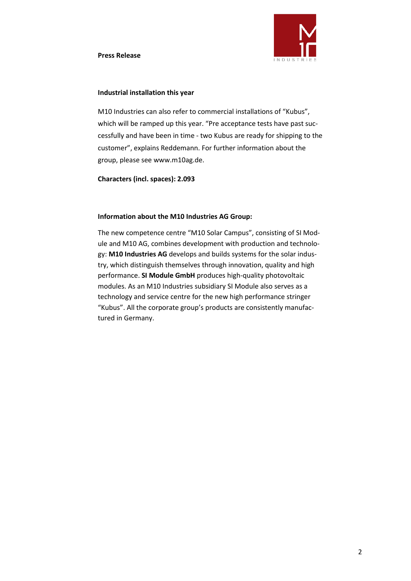

### **Industrial installation this year**

M10 Industries can also refer to commercial installations of "Kubus", which will be ramped up this year. "Pre acceptance tests have past successfully and have been in time - two Kubus are ready for shipping to the customer", explains Reddemann. For further information about the group, please see www.m10ag.de.

**Characters (incl. spaces): 2.093**

### **Information about the M10 Industries AG Group:**

The new competence centre "M10 Solar Campus", consisting of SI Module and M10 AG, combines development with production and technology: **M10 Industries AG** develops and builds systems for the solar industry, which distinguish themselves through innovation, quality and high performance. **SI Module GmbH** produces high-quality photovoltaic modules. As an M10 Industries subsidiary SI Module also serves as a technology and service centre for the new high performance stringer "Kubus". All the corporate group's products are consistently manufactured in Germany.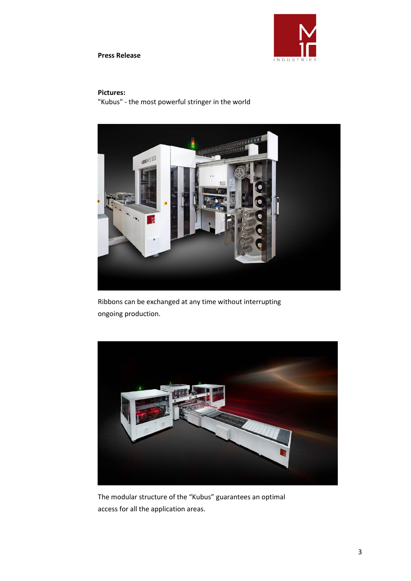### **Press Release**



#### **Pictures:**

"Kubus" - the most powerful stringer in the world



Ribbons can be exchanged at any time without interrupting ongoing production.



The modular structure of the "Kubus" guarantees an optimal access for all the application areas.